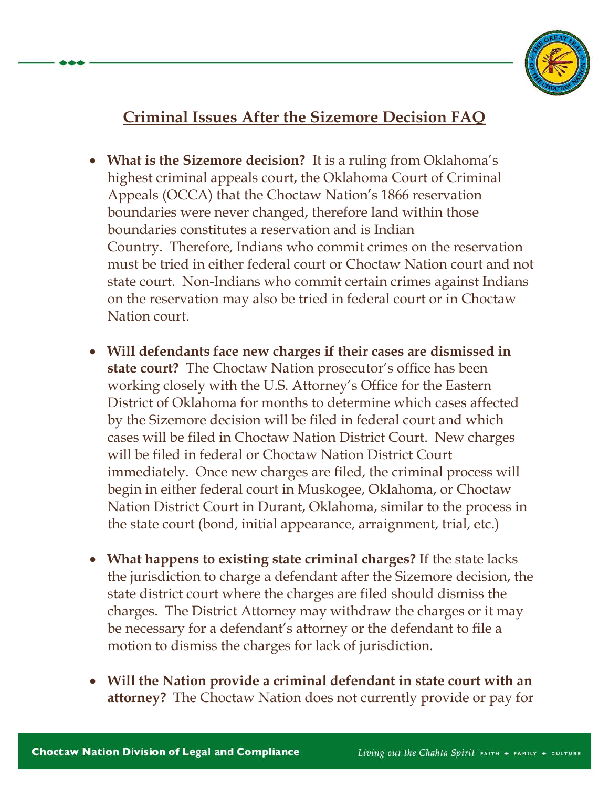

## **Criminal Issues After the Sizemore Decision FAQ**

- **What is the Sizemore decision?** It is a ruling from Oklahoma's highest criminal appeals court, the Oklahoma Court of Criminal Appeals (OCCA) that the Choctaw Nation's 1866 reservation boundaries were never changed, therefore land within those boundaries constitutes a reservation and is Indian Country. Therefore, Indians who commit crimes on the reservation must be tried in either federal court or Choctaw Nation court and not state court. Non-Indians who commit certain crimes against Indians on the reservation may also be tried in federal court or in Choctaw Nation court.
- **Will defendants face new charges if their cases are dismissed in state court?** The Choctaw Nation prosecutor's office has been working closely with the U.S. Attorney's Office for the Eastern District of Oklahoma for months to determine which cases affected by the Sizemore decision will be filed in federal court and which cases will be filed in Choctaw Nation District Court. New charges will be filed in federal or Choctaw Nation District Court immediately. Once new charges are filed, the criminal process will begin in either federal court in Muskogee, Oklahoma, or Choctaw Nation District Court in Durant, Oklahoma, similar to the process in the state court (bond, initial appearance, arraignment, trial, etc.)
- **What happens to existing state criminal charges?** If the state lacks the jurisdiction to charge a defendant after the Sizemore decision, the state district court where the charges are filed should dismiss the charges. The District Attorney may withdraw the charges or it may be necessary for a defendant's attorney or the defendant to file a motion to dismiss the charges for lack of jurisdiction.
- **Will the Nation provide a criminal defendant in state court with an attorney?** The Choctaw Nation does not currently provide or pay for